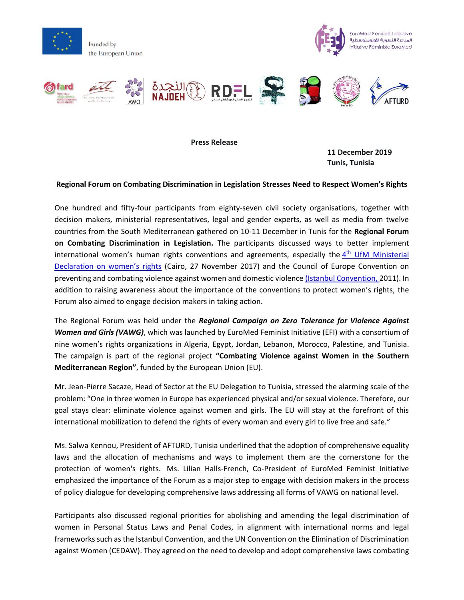

EuroMed Feminist Initiative المبادرة النسوية الأورومتوسطية Initiative Féministe EuroMed



**Press Release**

**11 December 2019 Tunis, Tunisia** 

## **Regional Forum on Combating Discrimination in Legislation Stresses Need to Respect Women's Rights**

One hundred and fifty-four participants from eighty-seven civil society organisations, together with decision makers, ministerial representatives, legal and gender experts, as well as media from twelve countries from the South Mediterranean gathered on 10-11 December in Tunis for the **Regional Forum on Combating Discrimination in Legislation.** The participants discussed ways to better implement international women's human rights conventions and agreements, especially the 4<sup>th</sup> UfM Ministerial [Declaration on women's rights](https://ufmsecretariat.org/wp-content/uploads/2017/11/womenfinaldeclaration.pdf) (Cairo, 27 November 2017) and the Council of Europe Convention on preventing and combating violence against women and domestic violence [\(Istanbul Convention,](https://www.coe.int/fr/web/conventions/full-list/-/conventions/rms/090000168008482e) 2011). In addition to raising awareness about the importance of the conventions to protect women's rights, the Forum also aimed to engage decision makers in taking action.

The Regional Forum was held under the *Regional Campaign on Zero Tolerance for Violence Against Women and Girls (VAWG)*, which was launched by EuroMed Feminist Initiative (EFI) with a consortium of nine women's rights organizations in Algeria, Egypt, Jordan, Lebanon, Morocco, Palestine, and Tunisia. The campaign is part of the regional project **"Combating Violence against Women in the Southern Mediterranean Region"**, funded by the European Union (EU).

Mr. Jean-Pierre Sacaze, Head of Sector at the EU Delegation to Tunisia, stressed the alarming scale of the problem: "One in three women in Europe has experienced physical and/or sexual violence. Therefore, our goal stays clear: eliminate violence against women and girls. The EU will stay at the forefront of this international mobilization to defend the rights of every woman and every girl to live free and safe."

Ms. Salwa Kennou, President of AFTURD, Tunisia underlined that the adoption of comprehensive equality laws and the allocation of mechanisms and ways to implement them are the cornerstone for the protection of women's rights. Ms. Lilian Halls-French, Co-President of EuroMed Feminist Initiative emphasized the importance of the Forum as a major step to engage with decision makers in the process of policy dialogue for developing comprehensive laws addressing all forms of VAWG on national level.

Participants also discussed regional priorities for abolishing and amending the legal discrimination of women in Personal Status Laws and Penal Codes, in alignment with international norms and legal frameworks such as the Istanbul Convention, and the UN Convention on the Elimination of Discrimination against Women (CEDAW). They agreed on the need to develop and adopt comprehensive laws combating